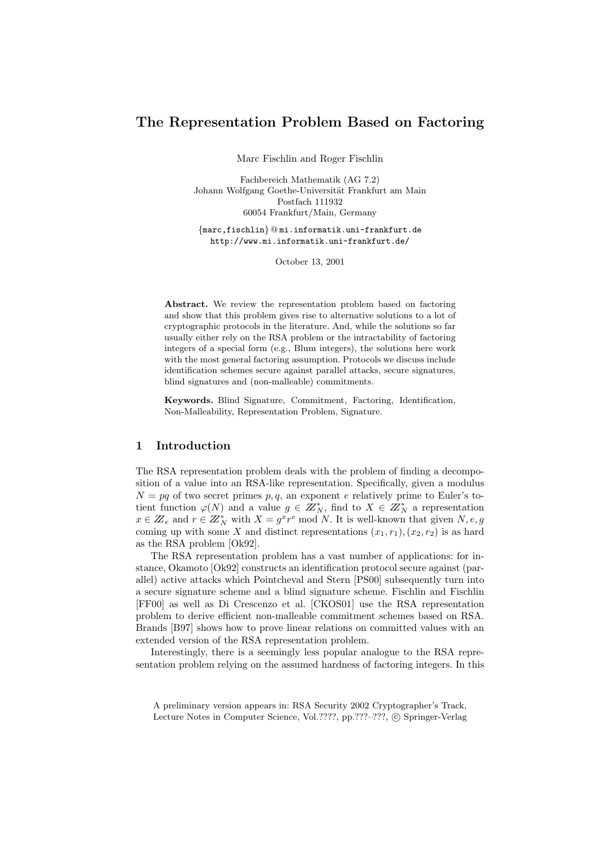# The Representation Problem Based on Factoring

Marc Fischlin and Roger Fischlin

Fachbereich Mathematik (AG 7.2) Johann Wolfgang Goethe-Universität Frankfurt am Main Postfach 111932 60054 Frankfurt/Main, Germany

{marc,fischlin} @ mi.informatik.uni-frankfurt.de http://www.mi.informatik.uni-frankfurt.de/

October 13, 2001

Abstract. We review the representation problem based on factoring and show that this problem gives rise to alternative solutions to a lot of cryptographic protocols in the literature. And, while the solutions so far usually either rely on the RSA problem or the intractability of factoring integers of a special form (e.g., Blum integers), the solutions here work with the most general factoring assumption. Protocols we discuss include identification schemes secure against parallel attacks, secure signatures, blind signatures and (non-malleable) commitments.

Keywords. Blind Signature, Commitment, Factoring, Identification, Non-Malleability, Representation Problem, Signature.

## 1 Introduction

The RSA representation problem deals with the problem of finding a decomposition of a value into an RSA-like representation. Specifically, given a modulus  $N = pq$  of two secret primes p, q, an exponent e relatively prime to Euler's totient function  $\varphi(N)$  and a value  $g \in \mathbb{Z}_N^*$ , find to  $X \in \mathbb{Z}_N^*$  a representation  $x \in \mathbb{Z}_e$  and  $r \in \mathbb{Z}_N^*$  with  $X = g^x r^e \mod N$ . It is well-known that given  $N, e, g$ coming up with some X and distinct representations  $(x_1, r_1), (x_2, r_2)$  is as hard as the RSA problem [Ok92].

The RSA representation problem has a vast number of applications: for instance, Okamoto [Ok92] constructs an identification protocol secure against (parallel) active attacks which Pointcheval and Stern [PS00] subsequently turn into a secure signature scheme and a blind signature scheme. Fischlin and Fischlin [FF00] as well as Di Crescenzo et al. [CKOS01] use the RSA representation problem to derive efficient non-malleable commitment schemes based on RSA. Brands [B97] shows how to prove linear relations on committed values with an extended version of the RSA representation problem.

Interestingly, there is a seemingly less popular analogue to the RSA representation problem relying on the assumed hardness of factoring integers. In this

A preliminary version appears in: RSA Security 2002 Cryptographer's Track, Lecture Notes in Computer Science, Vol.????, pp.???-???, © Springer-Verlag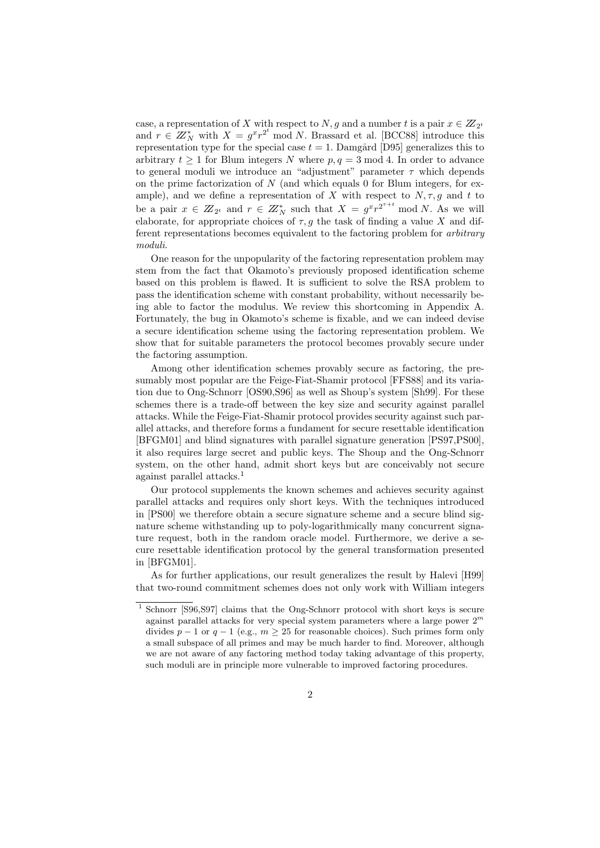case, a representation of X with respect to  $N, g$  and a number t is a pair  $x \in Z_{2^t}$ and  $r \in \mathbb{Z}_N^*$  with  $X = g^x r^{2^t} \mod N$ . Brassard et al. [BCC88] introduce this representation type for the special case  $t = 1$ . Damgård [D95] generalizes this to arbitrary  $t \geq 1$  for Blum integers N where  $p, q = 3 \text{ mod } 4$ . In order to advance to general moduli we introduce an "adjustment" parameter  $\tau$  which depends on the prime factorization of  $N$  (and which equals 0 for Blum integers, for example), and we define a representation of X with respect to  $N, \tau, g$  and t to be a pair  $x \in Z_{2^t}$  and  $r \in Z_N^*$  such that  $X = g^x r^{2^{r+t}}$  mod N. As we will elaborate, for appropriate choices of  $\tau, g$  the task of finding a value X and different representations becomes equivalent to the factoring problem for arbitrary moduli.

One reason for the unpopularity of the factoring representation problem may stem from the fact that Okamoto's previously proposed identification scheme based on this problem is flawed. It is sufficient to solve the RSA problem to pass the identification scheme with constant probability, without necessarily being able to factor the modulus. We review this shortcoming in Appendix A. Fortunately, the bug in Okamoto's scheme is fixable, and we can indeed devise a secure identification scheme using the factoring representation problem. We show that for suitable parameters the protocol becomes provably secure under the factoring assumption.

Among other identification schemes provably secure as factoring, the presumably most popular are the Feige-Fiat-Shamir protocol [FFS88] and its variation due to Ong-Schnorr [OS90,S96] as well as Shoup's system [Sh99]. For these schemes there is a trade-off between the key size and security against parallel attacks. While the Feige-Fiat-Shamir protocol provides security against such parallel attacks, and therefore forms a fundament for secure resettable identification [BFGM01] and blind signatures with parallel signature generation [PS97,PS00], it also requires large secret and public keys. The Shoup and the Ong-Schnorr system, on the other hand, admit short keys but are conceivably not secure against parallel attacks.<sup>1</sup>

Our protocol supplements the known schemes and achieves security against parallel attacks and requires only short keys. With the techniques introduced in [PS00] we therefore obtain a secure signature scheme and a secure blind signature scheme withstanding up to poly-logarithmically many concurrent signature request, both in the random oracle model. Furthermore, we derive a secure resettable identification protocol by the general transformation presented in [BFGM01].

As for further applications, our result generalizes the result by Halevi [H99] that two-round commitment schemes does not only work with William integers

<sup>1</sup> Schnorr [S96,S97] claims that the Ong-Schnorr protocol with short keys is secure against parallel attacks for very special system parameters where a large power  $2^m$ divides  $p - 1$  or  $q - 1$  (e.g.,  $m \geq 25$  for reasonable choices). Such primes form only a small subspace of all primes and may be much harder to find. Moreover, although we are not aware of any factoring method today taking advantage of this property, such moduli are in principle more vulnerable to improved factoring procedures.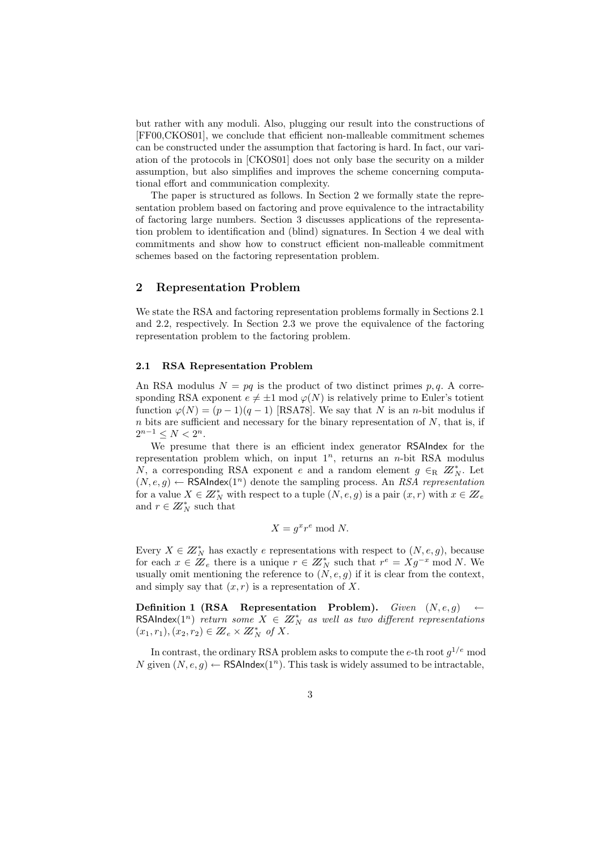but rather with any moduli. Also, plugging our result into the constructions of [FF00,CKOS01], we conclude that efficient non-malleable commitment schemes can be constructed under the assumption that factoring is hard. In fact, our variation of the protocols in [CKOS01] does not only base the security on a milder assumption, but also simplifies and improves the scheme concerning computational effort and communication complexity.

The paper is structured as follows. In Section 2 we formally state the representation problem based on factoring and prove equivalence to the intractability of factoring large numbers. Section 3 discusses applications of the representation problem to identification and (blind) signatures. In Section 4 we deal with commitments and show how to construct efficient non-malleable commitment schemes based on the factoring representation problem.

## 2 Representation Problem

We state the RSA and factoring representation problems formally in Sections 2.1 and 2.2, respectively. In Section 2.3 we prove the equivalence of the factoring representation problem to the factoring problem.

#### 2.1 RSA Representation Problem

An RSA modulus  $N = pq$  is the product of two distinct primes p, q. A corresponding RSA exponent  $e \neq \pm 1 \mod \varphi(N)$  is relatively prime to Euler's totient function  $\varphi(N) = (p-1)(q-1)$  [RSA78]. We say that N is an n-bit modulus if  $n$  bits are sufficient and necessary for the binary representation of  $N$ , that is, if  $2^{n-1} \leq N < 2^n$ .

We presume that there is an efficient index generator RSAIndex for the representation problem which, on input  $1^n$ , returns an n-bit RSA modulus N, a corresponding RSA exponent e and a random element  $g \in_R Z_N^*$ . Let  $(N, e, g) \leftarrow$  RSAIndex $(1^n)$  denote the sampling process. An RSA representation for a value  $X \in \mathbb{Z}_N^*$  with respect to a tuple  $(N, e, g)$  is a pair  $(x, r)$  with  $x \in \mathbb{Z}_e$ and  $r \in \mathbb{Z}_N^*$  such that

$$
X = g^x r^e \bmod N.
$$

Every  $X \in \mathbb{Z}_N^*$  has exactly e representations with respect to  $(N, e, g)$ , because for each  $x \in \mathbb{Z}_e$  there is a unique  $r \in \mathbb{Z}_N^*$  such that  $r^e = Xg^{-x} \mod N$ . We usually omit mentioning the reference to  $(N, e, g)$  if it is clear from the context, and simply say that  $(x, r)$  is a representation of X.

Definition 1 (RSA Representation Problem). Given  $(N, e, g)$ RSAIndex(1<sup>n</sup>) return some  $X \in \mathbb{Z}_N^*$  as well as two different representations  $(x_1,r_1), (x_2,r_2) \in Z_e \times Z_N^*$  of X.

In contrast, the ordinary RSA problem asks to compute the e-th root  $g^{1/e}$  mod N given  $(N, e, g) \leftarrow$  RSAIndex $(1^n)$ . This task is widely assumed to be intractable,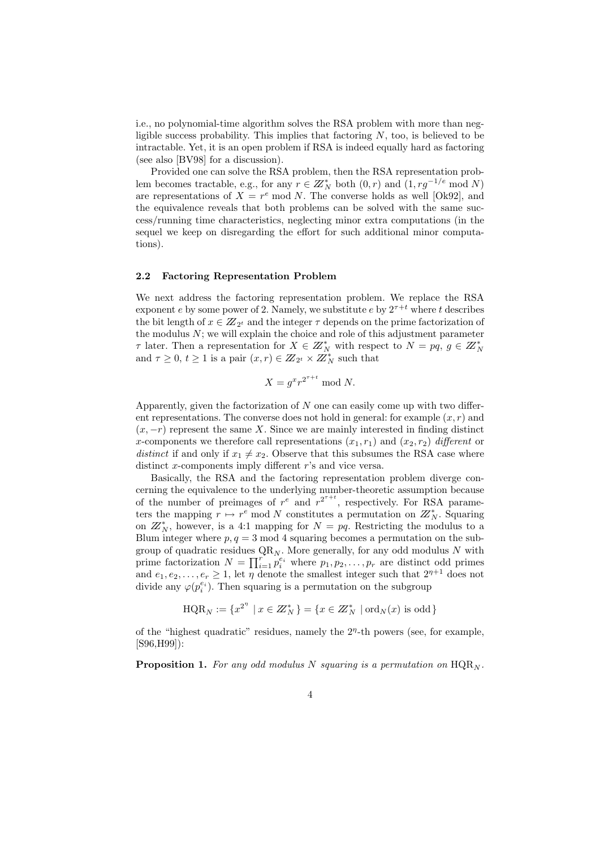i.e., no polynomial-time algorithm solves the RSA problem with more than negligible success probability. This implies that factoring  $N$ , too, is believed to be intractable. Yet, it is an open problem if RSA is indeed equally hard as factoring (see also [BV98] for a discussion).

Provided one can solve the RSA problem, then the RSA representation problem becomes tractable, e.g., for any  $r \in \mathbb{Z}_N^*$  both  $(0, r)$  and  $(1, rg^{-1/e} \mod N)$ are representations of  $X = r^e \mod N$ . The converse holds as well [Ok92], and the equivalence reveals that both problems can be solved with the same success/running time characteristics, neglecting minor extra computations (in the sequel we keep on disregarding the effort for such additional minor computations).

#### 2.2 Factoring Representation Problem

We next address the factoring representation problem. We replace the RSA exponent e by some power of 2. Namely, we substitute e by  $2^{\tau+t}$  where t describes the bit length of  $x \in \mathbb{Z}_{2^t}$  and the integer  $\tau$  depends on the prime factorization of the modulus  $N$ ; we will explain the choice and role of this adjustment parameter  $\tau$  later. Then a representation for  $X \in \mathbb{Z}_N^*$  with respect to  $N = pq, g \in \mathbb{Z}_N^*$ and  $\tau \geq 0, t \geq 1$  is a pair  $(x, r) \in \mathbb{Z}_{2^t} \times \mathbb{Z}_{N}^{N^*}$  such that

$$
X = g^x r^{2^{\tau+t}} \bmod N.
$$

Apparently, given the factorization of  $N$  one can easily come up with two different representations. The converse does not hold in general: for example  $(x, r)$  and  $(x, -r)$  represent the same X. Since we are mainly interested in finding distinct x-components we therefore call representations  $(x_1, r_1)$  and  $(x_2, r_2)$  different or distinct if and only if  $x_1 \neq x_2$ . Observe that this subsumes the RSA case where distinct x-components imply different r's and vice versa.

Basically, the RSA and the factoring representation problem diverge concerning the equivalence to the underlying number-theoretic assumption because of the number of preimages of  $r^e$  and  $r^{2^{r+t}}$ , respectively. For RSA parameters the mapping  $r \mapsto r^e \mod N$  constitutes a permutation on  $Z_N^*$ . Squaring on  $\mathbb{Z}_N^*$ , however, is a 4:1 mapping for  $N = pq$ . Restricting the modulus to a Blum integer where  $p, q = 3 \text{ mod } 4$  squaring becomes a permutation on the subgroup of quadratic residues  $QR_N$ . More generally, for any odd modulus N with prime factorization  $N = \prod_{i=1}^{r} p_i^{e_i}$  where  $p_1, p_2, \ldots, p_r$  are distinct odd primes and  $e_1, e_2, \ldots, e_r \ge 1$ , let  $\eta$  denote the smallest integer such that  $2^{\eta+1}$  does not divide any  $\varphi(p_i^{e_i})$ . Then squaring is a permutation on the subgroup

$$
\text{HQR}_N := \{x^{2^n} \mid x \in \mathbb{Z}_N^*\} = \{x \in \mathbb{Z}_N^* \mid \text{ord}_N(x) \text{ is odd}\}\
$$

of the "highest quadratic" residues, namely the  $2<sup>\eta</sup>$ -th powers (see, for example, [S96,H99]):

**Proposition 1.** For any odd modulus N squaring is a permutation on  $\text{HQR}_N$ .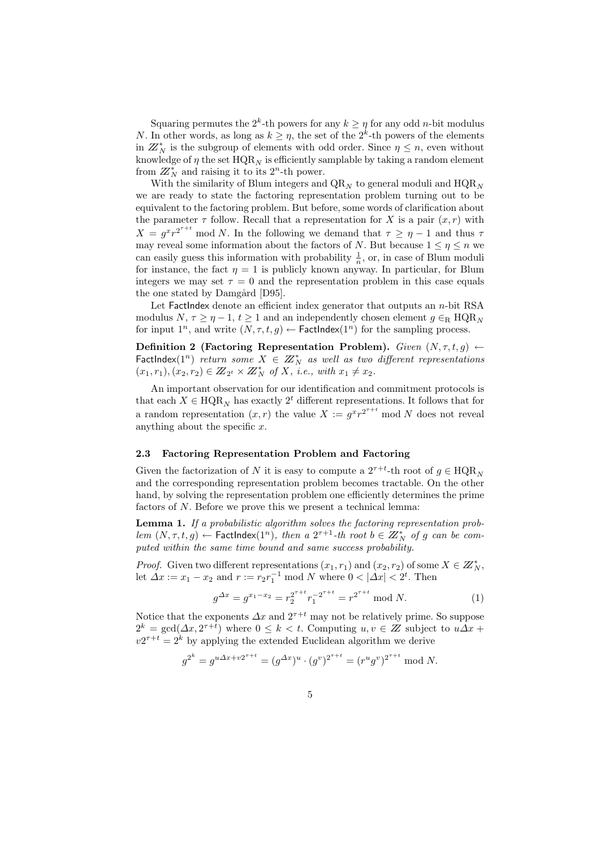Squaring permutes the  $2^k$ -th powers for any  $k \geq \eta$  for any odd *n*-bit modulus N. In other words, as long as  $k \geq \eta$ , the set of the  $2^k$ -th powers of the elements in  $\mathbb{Z}_N^*$  is the subgroup of elements with odd order. Since  $\eta \leq n$ , even without knowledge of  $\eta$  the set  $HQR_N$  is efficiently samplable by taking a random element from  $\mathbb{Z}_N^*$  and raising it to its  $2^n$ -th power.

With the similarity of Blum integers and  $QR_N$  to general moduli and  $HQR_N$ we are ready to state the factoring representation problem turning out to be equivalent to the factoring problem. But before, some words of clarification about the parameter  $\tau$  follow. Recall that a representation for X is a pair  $(x, r)$  with  $X = g^x r^{2^{x+t}}$  mod N. In the following we demand that  $\tau \geq \eta - 1$  and thus  $\tau$ may reveal some information about the factors of N. But because  $1 \leq \eta \leq n$  we can easily guess this information with probability  $\frac{1}{n}$ , or, in case of Blum moduli for instance, the fact  $\eta = 1$  is publicly known anyway. In particular, for Blum integers we may set  $\tau = 0$  and the representation problem in this case equals the one stated by Damgård [D95].

Let FactIndex denote an efficient index generator that outputs an  $n$ -bit RSA modulus  $N, \tau \geq \eta - 1, t \geq 1$  and an independently chosen element  $g \in_R \text{HQR}_N$ for input  $1^n$ , and write  $(N, \tau, t, g) \leftarrow$  FactIndex $(1^n)$  for the sampling process.

Definition 2 (Factoring Representation Problem). Given  $(N, \tau, t, g) \leftarrow$ FactIndex(1<sup>n</sup>) return some  $X \in \mathbb{Z}_N^*$  as well as two different representations  $(x_1,r_1), (x_2,r_2) \in Z_{2^t} \times Z_N^*$  of X, i.e., with  $x_1 \neq x_2$ .

An important observation for our identification and commitment protocols is that each  $X \in \text{HQR}_N$  has exactly  $2^t$  different representations. It follows that for a random representation  $(x, r)$  the value  $X := g^x r^{2^{T+t}}$  mod N does not reveal anything about the specific  $x$ .

## 2.3 Factoring Representation Problem and Factoring

Given the factorization of N it is easy to compute a  $2^{\tau+t}$ -th root of  $g \in \text{HQR}_N$ and the corresponding representation problem becomes tractable. On the other hand, by solving the representation problem one efficiently determines the prime factors of N. Before we prove this we present a technical lemma:

Lemma 1. If a probabilistic algorithm solves the factoring representation problem  $(N, \tau, t, g)$   $\leftarrow$  FactIndex $(1^n)$ , then a  $2^{\tau+1}$ -th root  $b \in \mathbb{Z}_N^*$  of g can be computed within the same time bound and same success probability.

*Proof.* Given two different representations  $(x_1, r_1)$  and  $(x_2, r_2)$  of some  $X \in \mathbb{Z}_N^*$ , let  $\Delta x := x_1 - x_2$  and  $r := r_2 r_1^{-1} \text{ mod } N$  where  $0 < |\Delta x| < 2^t$ . Then

$$
g^{\Delta x} = g^{x_1 - x_2} = r_2^{2^{\tau + t}} r_1^{-2^{\tau + t}} = r^{2^{\tau + t}} \mod N.
$$
 (1)

Notice that the exponents  $\Delta x$  and  $2^{\tau+t}$  may not be relatively prime. So suppose  $2^k = \gcd(\Delta x, 2^{\tau + i})$  where  $0 \leq k < t$ . Computing  $u, v \in \mathbb{Z}$  subject to  $u\Delta x +$  $v2^{\tau+t} = 2^k$  by applying the extended Euclidean algorithm we derive

$$
g^{2^k} = g^{u \Delta x + v 2^{\tau + t}} = (g^{\Delta x})^u \cdot (g^v)^{2^{\tau + t}} = (r^u g^v)^{2^{\tau + t}} \mod N.
$$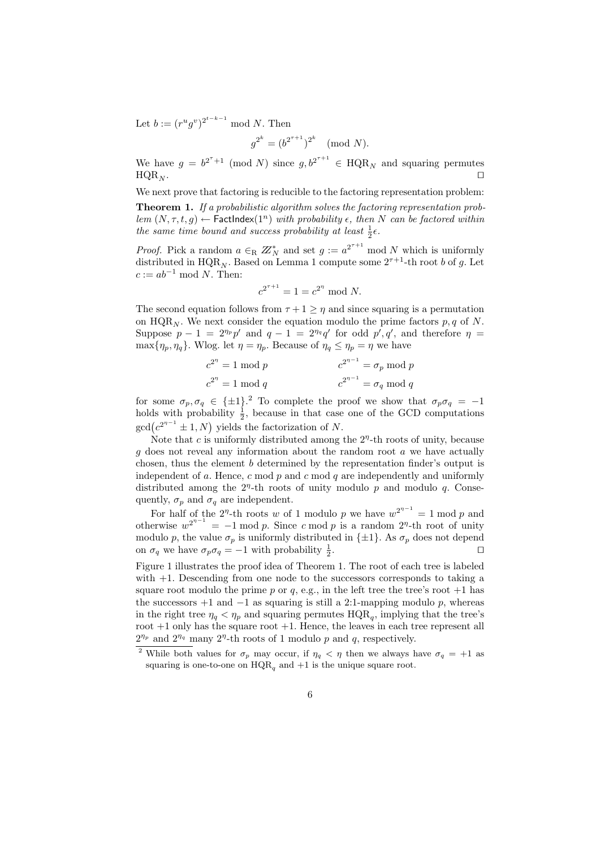Let  $b := (r^u g^v)^{2^{t-k-1}} \mod N$ . Then

$$
g^{2^k} = (b^{2^{\tau+1}})^{2^k} \pmod{N}.
$$

We have  $g = b^{2^{\tau}+1} \pmod{N}$  since  $g, b^{2^{\tau+1}} \in \text{HQR}_N$  and squaring permutes  $\mathrm{HQR}_N$ .

We next prove that factoring is reducible to the factoring representation problem:

Theorem 1. If a probabilistic algorithm solves the factoring representation problem  $(N, \tau, t, g) \leftarrow$  FactIndex $(1^n)$  with probability  $\epsilon$ , then N can be factored within the same time bound and success probability at least  $\frac{1}{2} \epsilon$ .

*Proof.* Pick a random  $a \in_R \mathbb{Z}_N^*$  and set  $g := a^{2^{r+1}} \mod N$  which is uniformly distributed in HQR<sub>N</sub>. Based on Lemma 1 compute some  $2^{\tau+1}$ -th root b of g. Let  $c := ab^{-1} \mod N$ . Then:

$$
c^{2^{\tau+1}} = 1 = c^{2^{\eta}} \bmod N.
$$

The second equation follows from  $\tau + 1 \geq \eta$  and since squaring is a permutation on HQR<sub>N</sub>. We next consider the equation modulo the prime factors  $p, q$  of N. Suppose  $p-1 = 2^{\eta_p} p'$  and  $q-1 = 2^{\eta_q} q'$  for odd  $p', q'$ , and therefore  $\eta =$  $\max{\{\eta_p, \eta_q\}}$ . Wlog. let  $\eta = \eta_p$ . Because of  $\eta_q \leq \eta_p = \eta$  we have

$$
c^{2^{n}} = 1 \mod p
$$
  

$$
c^{2^{n}} = 1 \mod q
$$
  

$$
c^{2^{n-1}} = \sigma_p \mod p
$$
  

$$
c^{2^{n-1}} = \sigma_q \mod q
$$

for some  $\sigma_p, \sigma_q \in {\pm 1}$ .<sup>2</sup> To complete the proof we show that  $\sigma_p \sigma_q = -1$ holds with probability  $\frac{1}{2}$ , because in that case one of the GCD computations  $gcd(c^{2^{n-1}} \pm 1, N)$  yields the factorization of N.

Note that c is uniformly distributed among the  $2<sup>{n}</sup>$ -th roots of unity, because  $q$  does not reveal any information about the random root  $a$  we have actually chosen, thus the element b determined by the representation finder's output is independent of a. Hence,  $c \mod p$  and  $c \mod q$  are independently and uniformly distributed among the  $2<sup>\eta</sup>$ -th roots of unity modulo p and modulo q. Consequently,  $\sigma_p$  and  $\sigma_q$  are independent.

For half of the  $2^n$ -th roots w of 1 modulo p we have  $w^{2^{n-1}} = 1 \mod p$  and otherwise  $w^{2^{n-1}} = -1 \mod p$ . Since c mod p is a random  $2^n$ -th root of unity modulo p, the value  $\sigma_p$  is uniformly distributed in  $\{\pm 1\}$ . As  $\sigma_p$  does not depend on  $\sigma_q$  we have  $\sigma_p \sigma_q = -1$  with probability  $\frac{1}{2}$ . utilize the contract of  $\Box$ 

Figure 1 illustrates the proof idea of Theorem 1. The root of each tree is labeled with  $+1$ . Descending from one node to the successors corresponds to taking a square root modulo the prime p or q, e.g., in the left tree the tree's root  $+1$  has the successors  $+1$  and  $-1$  as squaring is still a 2:1-mapping modulo p, whereas in the right tree  $\eta_q < \eta_p$  and squaring permutes  $HQR_q$ , implying that the tree's root  $+1$  only has the square root  $+1$ . Hence, the leaves in each tree represent all  $2^{\eta_p}$  and  $2^{\eta_q}$  many  $2^{\eta}$ -th roots of 1 modulo p and q, respectively.

<sup>&</sup>lt;sup>2</sup> While both values for  $\sigma_p$  may occur, if  $\eta_q < \eta$  then we always have  $\sigma_q = +1$  as squaring is one-to-one on  $HQR<sub>a</sub>$  and  $+1$  is the unique square root.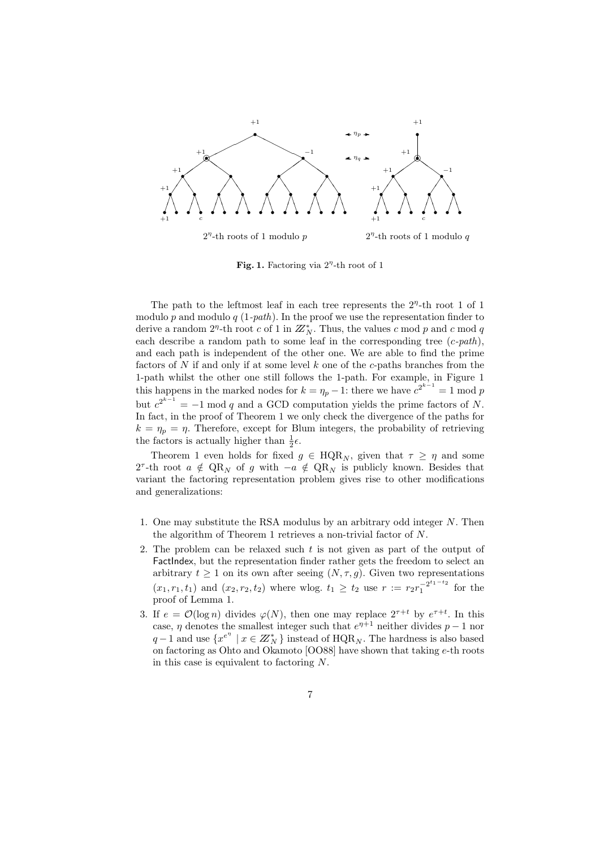

Fig. 1. Factoring via  $2<sup>{\eta}</sup>$ -th root of 1

The path to the leftmost leaf in each tree represents the  $2<sup>{\eta}</sup>$ -th root 1 of 1 modulo p and modulo q  $(1-path)$ . In the proof we use the representation finder to derive a random  $2^n$ -th root c of 1 in  $\mathbb{Z}_N^*$ . Thus, the values c mod p and c mod q each describe a random path to some leaf in the corresponding tree  $(c$ -path), and each path is independent of the other one. We are able to find the prime factors of  $N$  if and only if at some level  $k$  one of the  $c$ -paths branches from the 1-path whilst the other one still follows the 1-path. For example, in Figure 1 this happens in the marked nodes for  $k = \eta_p - 1$ : there we have  $c^{2^{k-1}} = 1 \mod p$ but  $c^{2^{k-1}} = -1 \mod q$  and a GCD computation yields the prime factors of N. In fact, in the proof of Theorem 1 we only check the divergence of the paths for  $k = \eta_p = \eta$ . Therefore, except for Blum integers, the probability of retrieving the factors is actually higher than  $\frac{1}{2}\epsilon$ .

Theorem 1 even holds for fixed  $g \in \text{HQR}_N$ , given that  $\tau \geq \eta$  and some 2<sup> $\tau$ </sup>-th root  $a \notin \mathrm{QR}_N$  of g with  $-a \notin \mathrm{QR}_N$  is publicly known. Besides that variant the factoring representation problem gives rise to other modifications and generalizations:

- 1. One may substitute the RSA modulus by an arbitrary odd integer N. Then the algorithm of Theorem 1 retrieves a non-trivial factor of N.
- 2. The problem can be relaxed such  $t$  is not given as part of the output of FactIndex, but the representation finder rather gets the freedom to select an arbitrary  $t \geq 1$  on its own after seeing  $(N, \tau, g)$ . Given two representations  $(x_1, r_1, t_1)$  and  $(x_2, r_2, t_2)$  where wlog.  $t_1 \geq t_2$  use  $r := r_2 r_1^{-2^{t_1 - t_2}}$  $\int_{1}^{-2^{-1}}$  for the proof of Lemma 1.
- 3. If  $e = \mathcal{O}(\log n)$  divides  $\varphi(N)$ , then one may replace  $2^{\tau+t}$  by  $e^{\tau+t}$ . In this case,  $\eta$  denotes the smallest integer such that  $e^{\eta+1}$  neither divides  $p-1$  nor  $q-1$  and use  $\{x^{e^{n}} \mid x \in \mathbb{Z}_{N}^*\}$  instead of  $\text{HQR}_N$ . The hardness is also based on factoring as Ohto and Okamoto [OO88] have shown that taking e-th roots in this case is equivalent to factoring N.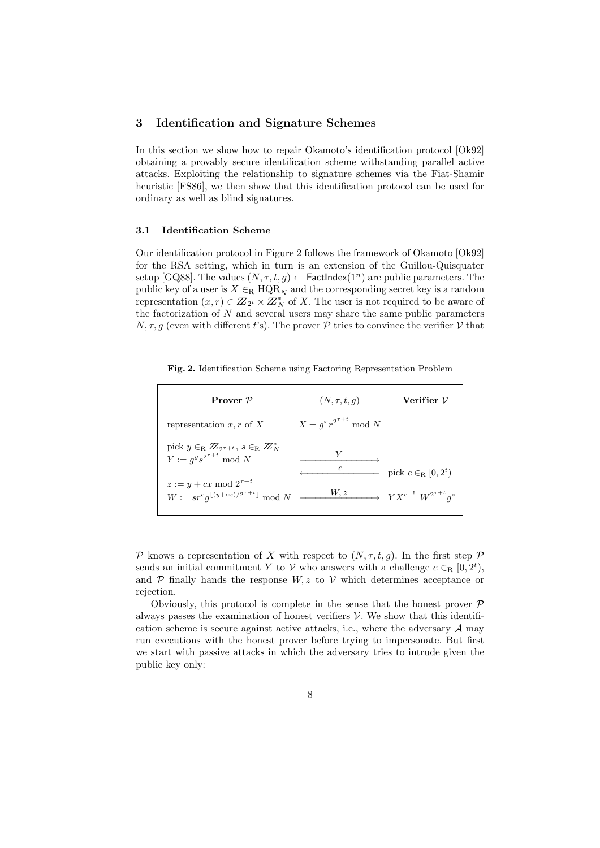## 3 Identification and Signature Schemes

In this section we show how to repair Okamoto's identification protocol [Ok92] obtaining a provably secure identification scheme withstanding parallel active attacks. Exploiting the relationship to signature schemes via the Fiat-Shamir heuristic [FS86], we then show that this identification protocol can be used for ordinary as well as blind signatures.

#### 3.1 Identification Scheme

Our identification protocol in Figure 2 follows the framework of Okamoto [Ok92] for the RSA setting, which in turn is an extension of the Guillou-Quisquater setup [GQ88]. The values  $(N, \tau, t, g) \leftarrow$  FactIndex $(1^n)$  are public parameters. The public key of a user is  $X \in_R \text{HQR}_N$  and the corresponding secret key is a random representation  $(x, r) \in \mathbb{Z}_{2^t}^{\infty} \times \mathbb{Z}_{N}^{*}$  of X. The user is not required to be aware of the factorization of  $N$  and several users may share the same public parameters  $N, \tau, g$  (even with different t's). The prover  $P$  tries to convince the verifier V that

Fig. 2. Identification Scheme using Factoring Representation Problem

| Prover $P$                                                                                         | $(N, \tau, t, q)$                | Verifier ${\cal V}$                                                                 |
|----------------------------------------------------------------------------------------------------|----------------------------------|-------------------------------------------------------------------------------------|
| representation x, r of X                                                                           | $X = q^x r^{2^{\tau+t}} \bmod N$ |                                                                                     |
| pick $y \in_R \mathbb{Z}_{2\tau+t}$ , $s \in_R \mathbb{Z}_N^*$<br>$Y := a^ys^{2^{\tau+t}} \bmod N$ | $\epsilon$                       |                                                                                     |
| $z := y + cx \mod 2^{\tau+t}$<br>$W := sr^c q^{\lfloor (y+cx)/2^{\tau+t} \rfloor} \mod N$          | W, z                             | pick $c \in_R [0, 2^t)$<br>$\longrightarrow YX^c \stackrel{!}{=} W^{2^{\tau+t}}q^z$ |

P knows a representation of X with respect to  $(N, \tau, t, g)$ . In the first step P sends an initial commitment Y to V who answers with a challenge  $c \in_R [0, 2^t)$ , and  $P$  finally hands the response  $W, z$  to  $V$  which determines acceptance or rejection.

Obviously, this protocol is complete in the sense that the honest prover  $\mathcal P$ always passes the examination of honest verifiers  $\mathcal V$ . We show that this identification scheme is secure against active attacks, i.e., where the adversary  $A$  may run executions with the honest prover before trying to impersonate. But first we start with passive attacks in which the adversary tries to intrude given the public key only: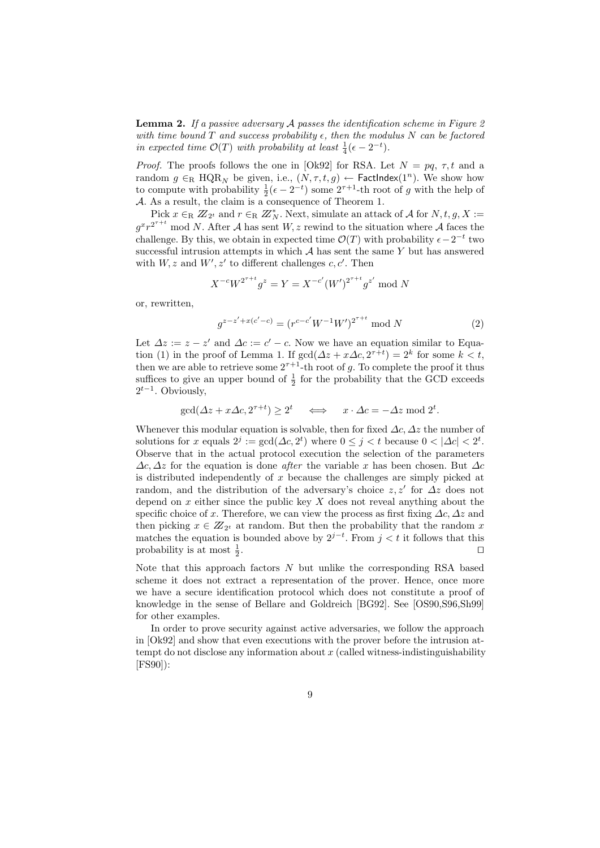**Lemma 2.** If a passive adversary  $\mathcal A$  passes the identification scheme in Figure 2. with time bound T and success probability  $\epsilon$ , then the modulus N can be factored in expected time  $\mathcal{O}(T)$  with probability at least  $\frac{1}{4}(\epsilon - 2^{-t})$ .

*Proof.* The proofs follows the one in [Ok92] for RSA. Let  $N = pq, \tau, t$  and a random  $g \in_R \text{HQR}_N$  be given, i.e.,  $(N, \tau, t, g) \leftarrow \text{FactIndex}(1^n)$ . We show how to compute with probability  $\frac{1}{2}(\epsilon - 2^{-t})$  some  $2^{\tau+1}$ -th root of g with the help of A. As a result, the claim is a consequence of Theorem 1.

Pick  $x \in_R Z_{2^t}$  and  $r \in_R Z_N^*$ . Next, simulate an attack of A for  $N, t, g, X :=$  $g^{x}r^{2^{T+t}}$  mod N. After A has sent W, z rewind to the situation where A faces the challenge. By this, we obtain in expected time  $\mathcal{O}(T)$  with probability  $\epsilon - 2^{-t}$  two successful intrusion attempts in which  $A$  has sent the same Y but has answered with  $W, z$  and  $W', z'$  to different challenges c, c'. Then

$$
X^{-c}W^{2^{\tau+t}}g^z = Y = X^{-c'}(W')^{2^{\tau+t}}g^{z'} \bmod N
$$

or, rewritten,

$$
g^{z-z'+x(c'-c)} = (r^{c-c'}W^{-1}W')^{2^{\tau+t}} \bmod N
$$
 (2)

Let  $\Delta z := z - z'$  and  $\Delta c := c' - c$ . Now we have an equation similar to Equation (1) in the proof of Lemma 1. If  $gcd(\Delta z + x\Delta c, 2^{\tau+t}) = 2^k$  for some  $k < t$ , then we are able to retrieve some  $2^{\tau+1}$ -th root of g. To complete the proof it thus suffices to give an upper bound of  $\frac{1}{2}$  for the probability that the GCD exceeds  $2^{t-1}$ . Obviously,

$$
\gcd(\Delta z + x\Delta c, 2^{\tau+t}) \ge 2^t \quad \Longleftrightarrow \quad x \cdot \Delta c = -\Delta z \mod 2^t.
$$

Whenever this modular equation is solvable, then for fixed  $\Delta c$ ,  $\Delta z$  the number of solutions for x equals  $2^j := \gcd(\Delta c, 2^t)$  where  $0 \le j < t$  because  $0 < |\Delta c| < 2^t$ . Observe that in the actual protocol execution the selection of the parameters  $\Delta c, \Delta z$  for the equation is done *after* the variable x has been chosen. But  $\Delta c$ is distributed independently of x because the challenges are simply picked at random, and the distribution of the adversary's choice  $z, z'$  for  $\Lambda z$  does not depend on  $x$  either since the public key  $X$  does not reveal anything about the specific choice of x. Therefore, we can view the process as first fixing  $\Delta c$ ,  $\Delta z$  and then picking  $x \in \mathbb{Z}_{2^t}$  at random. But then the probability that the random x matches the equation is bounded above by  $2^{j-t}$ . From  $j < t$  it follows that this probability is at most  $\frac{1}{2}$ . Utilization of the contract of the contract of the contract of the contract of the contract of the contract of the contract of the contract of the contract of the contract of the contract of the contract of the contract

Note that this approach factors  $N$  but unlike the corresponding RSA based scheme it does not extract a representation of the prover. Hence, once more we have a secure identification protocol which does not constitute a proof of knowledge in the sense of Bellare and Goldreich [BG92]. See [OS90,S96,Sh99] for other examples.

In order to prove security against active adversaries, we follow the approach in [Ok92] and show that even executions with the prover before the intrusion attempt do not disclose any information about  $x$  (called witness-indistinguishability [FS90]):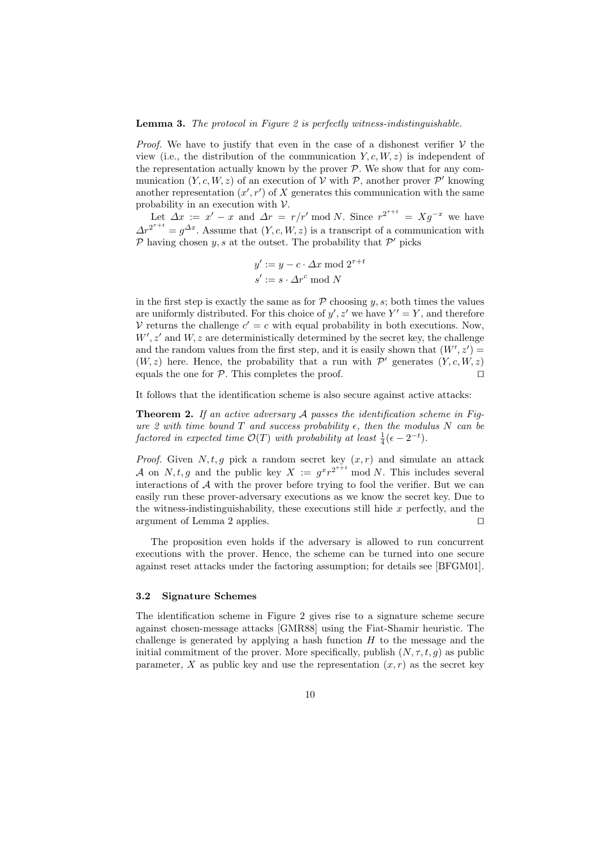#### **Lemma 3.** The protocol in Figure 2 is perfectly witness-indistinguishable.

*Proof.* We have to justify that even in the case of a dishonest verifier  $V$  the view (i.e., the distribution of the communication  $Y, c, W, z$ ) is independent of the representation actually known by the prover  $P$ . We show that for any communication  $(Y, c, W, z)$  of an execution of  $\mathcal V$  with  $\mathcal P$ , another prover  $\mathcal P'$  knowing another representation  $(x', r')$  of X generates this communication with the same probability in an execution with  $\nu$ .

Let  $\Delta x := x' - x$  and  $\Delta r = r/r'$  mod N. Since  $r^{2^{r+t}} = Xg^{-x}$  we have  $\Delta r^{2^{r+t}} = g^{\Delta x}$ . Assume that  $(Y, c, W, z)$  is a transcript of a communication with  $\mathcal P$  having chosen  $y, s$  at the outset. The probability that  $\mathcal P'$  picks

$$
y' := y - c \cdot \Delta x \mod 2^{\tau + t}
$$

$$
s' := s \cdot \Delta r^c \mod N
$$

in the first step is exactly the same as for  $P$  choosing  $y, s$ ; both times the values are uniformly distributed. For this choice of  $y'$ ,  $z'$  we have  $Y' = Y$ , and therefore V returns the challenge  $c' = c$  with equal probability in both executions. Now,  $W', z'$  and  $W, z$  are deterministically determined by the secret key, the challenge and the random values from the first step, and it is easily shown that  $(W', z') =$  $(W, z)$  here. Hence, the probability that a run with  $\mathcal{P}'$  generates  $(Y, c, W, z)$ equals the one for  $P$ . This completes the proof.

It follows that the identification scheme is also secure against active attacks:

**Theorem 2.** If an active adversary  $A$  passes the identification scheme in Figure 2 with time bound T and success probability  $\epsilon$ , then the modulus N can be factored in expected time  $\mathcal{O}(T)$  with probability at least  $\frac{1}{4}(\epsilon - 2^{-t})$ .

*Proof.* Given  $N, t, g$  pick a random secret key  $(x, r)$  and simulate an attack A on N, t, g and the public key  $X := g^x r^{2^{x+t}}$  mod N. This includes several interactions of  $A$  with the prover before trying to fool the verifier. But we can easily run these prover-adversary executions as we know the secret key. Due to the witness-indistinguishability, these executions still hide  $x$  perfectly, and the argument of Lemma 2 applies.  $\square$ 

The proposition even holds if the adversary is allowed to run concurrent executions with the prover. Hence, the scheme can be turned into one secure against reset attacks under the factoring assumption; for details see [BFGM01].

#### 3.2 Signature Schemes

The identification scheme in Figure 2 gives rise to a signature scheme secure against chosen-message attacks [GMR88] using the Fiat-Shamir heuristic. The challenge is generated by applying a hash function  $H$  to the message and the initial commitment of the prover. More specifically, publish  $(N, \tau, t, q)$  as public parameter, X as public key and use the representation  $(x, r)$  as the secret key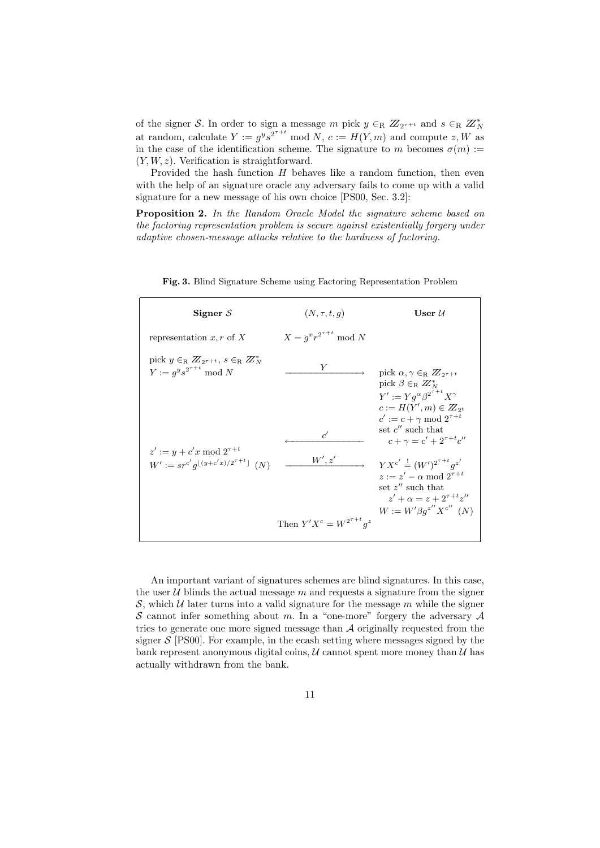of the signer S. In order to sign a message m pick  $y \in_R Z_{2^{\tau+t}}$  and  $s \in_R Z_N^*$ at random, calculate  $Y := g^y s^{2^{\tau+t}} \mod N$ ,  $c := H(Y, m)$  and compute  $z, W$  as in the case of the identification scheme. The signature to m becomes  $\sigma(m)$  :=  $(Y, W, z)$ . Verification is straightforward.

Provided the hash function  $H$  behaves like a random function, then even with the help of an signature oracle any adversary fails to come up with a valid signature for a new message of his own choice [PS00, Sec. 3.2]:

Proposition 2. In the Random Oracle Model the signature scheme based on the factoring representation problem is secure against existentially forgery under adaptive chosen-message attacks relative to the hardness of factoring.

| Signer $S$                                                                                             | $(N, \tau, t, q)$                | $\bf{User}\ \mathcal{U}$                                                                                                                                                                                  |
|--------------------------------------------------------------------------------------------------------|----------------------------------|-----------------------------------------------------------------------------------------------------------------------------------------------------------------------------------------------------------|
| representation x, r of X                                                                               | $X = q^x r^{2^{\tau+t}} \bmod N$ |                                                                                                                                                                                                           |
| pick $y \in_R \mathbb{Z}_{2^{\tau}+t}$ , $s \in_R \mathbb{Z}_N^*$<br>$Y := q^y s^{2^{\tau+t}} \bmod N$ | Y                                | pick $\alpha, \gamma \in_R \mathbb{Z}_{2\tau+t}$<br>pick $\beta \in R \mathbb{Z}_N^*$<br>$Y' := Y q^{\alpha} \beta^{2^{\tau+t}} X^{\gamma}$<br>$c := H(Y', m) \in Z_{2^t}$                                |
| $z' := y + c'x \bmod 2^{\tau + t}$<br>$W' := sr^{c'} g^{\lfloor (y+c'x)/2^{\tau+t} \rfloor}$ (N)       | $\epsilon'$<br>W', z'            | $c' := c + \gamma \bmod 2^{\tau+t}$<br>set $c''$ such that<br>$c + \gamma = c' + 2^{\tau + t} c''$<br>$YX^{c'} = (W')^{2^{\tau+t}}q^{z'}$<br>$z := z' - \alpha \bmod 2^{\tau + t}$<br>set $z''$ such that |
|                                                                                                        | Then $Y'X^c = W^{2^{\tau+t}}q^z$ | $z' + \alpha = z + 2^{\tau + t} z''$<br>$W := W' \beta g^{z''} X^{c''}$ (N)                                                                                                                               |

Fig. 3. Blind Signature Scheme using Factoring Representation Problem

An important variant of signatures schemes are blind signatures. In this case, the user  $U$  blinds the actual message  $m$  and requests a signature from the signer S, which  $U$  later turns into a valid signature for the message m while the signer S cannot infer something about m. In a "one-more" forgery the adversary  $A$ tries to generate one more signed message than A originally requested from the signer  $S$  [PS00]. For example, in the ecash setting where messages signed by the bank represent anonymous digital coins,  $\mathcal U$  cannot spent more money than  $\mathcal U$  has actually withdrawn from the bank.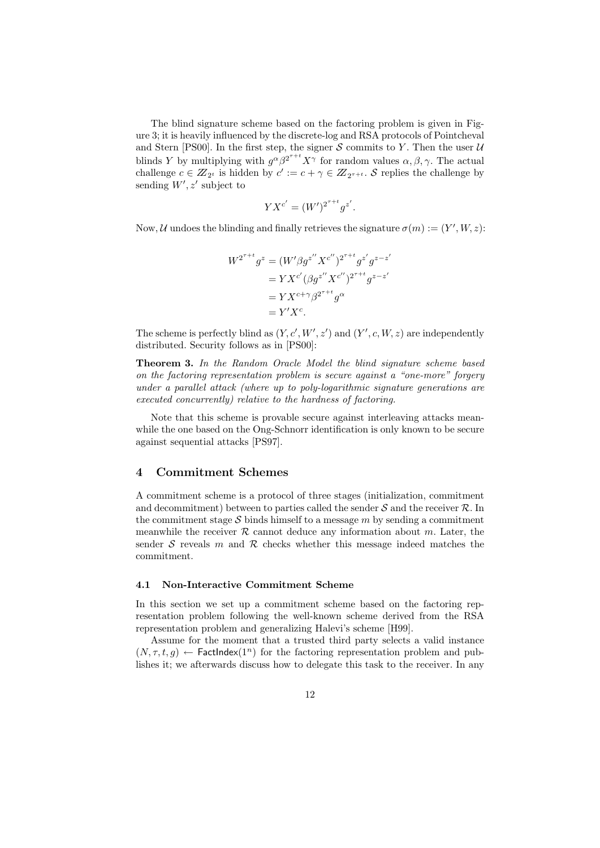The blind signature scheme based on the factoring problem is given in Figure 3; it is heavily influenced by the discrete-log and RSA protocols of Pointcheval and Stern [PS00]. In the first step, the signer  $S$  commits to Y. Then the user  $U$ blinds Y by multiplying with  $g^{\alpha} \beta^{2^{r+t}} X^{\gamma}$  for random values  $\alpha, \beta, \gamma$ . The actual challenge  $c \in \mathbb{Z}_{2^t}$  is hidden by  $c' := c + \gamma \in \mathbb{Z}_{2^{\tau+t}}$ . S replies the challenge by sending  $W', z'$  subject to

$$
YX^{c'} = (W')^{2^{\tau+t}}g^{z'}.
$$

Now, U undoes the blinding and finally retrieves the signature  $\sigma(m) := (Y', W, z)$ :

$$
W^{2^{\tau+t}}g^{z} = (W'\beta g^{z''} X^{c''})^{2^{\tau+t}}g^{z'}g^{z-z'}= Y X^{c'}(\beta g^{z''} X^{c''})^{2^{\tau+t}}g^{z-z'}= Y X^{c+\gamma}\beta^{2^{\tau+t}}g^{\alpha}= Y' X^{c}.
$$

The scheme is perfectly blind as  $(Y, c', W', z')$  and  $(Y', c, W, z)$  are independently distributed. Security follows as in [PS00]:

Theorem 3. In the Random Oracle Model the blind signature scheme based on the factoring representation problem is secure against a "one-more" forgery under a parallel attack (where up to poly-logarithmic signature generations are executed concurrently) relative to the hardness of factoring.

Note that this scheme is provable secure against interleaving attacks meanwhile the one based on the Ong-Schnorr identification is only known to be secure against sequential attacks [PS97].

### 4 Commitment Schemes

A commitment scheme is a protocol of three stages (initialization, commitment and decommitment) between to parties called the sender  $S$  and the receiver  $R$ . In the commitment stage  $S$  binds himself to a message m by sending a commitment meanwhile the receiver  $R$  cannot deduce any information about  $m$ . Later, the sender S reveals m and  $\mathcal R$  checks whether this message indeed matches the commitment.

#### 4.1 Non-Interactive Commitment Scheme

In this section we set up a commitment scheme based on the factoring representation problem following the well-known scheme derived from the RSA representation problem and generalizing Halevi's scheme [H99].

Assume for the moment that a trusted third party selects a valid instance  $(N, \tau, t, q) \leftarrow$  FactIndex $(1^n)$  for the factoring representation problem and publishes it; we afterwards discuss how to delegate this task to the receiver. In any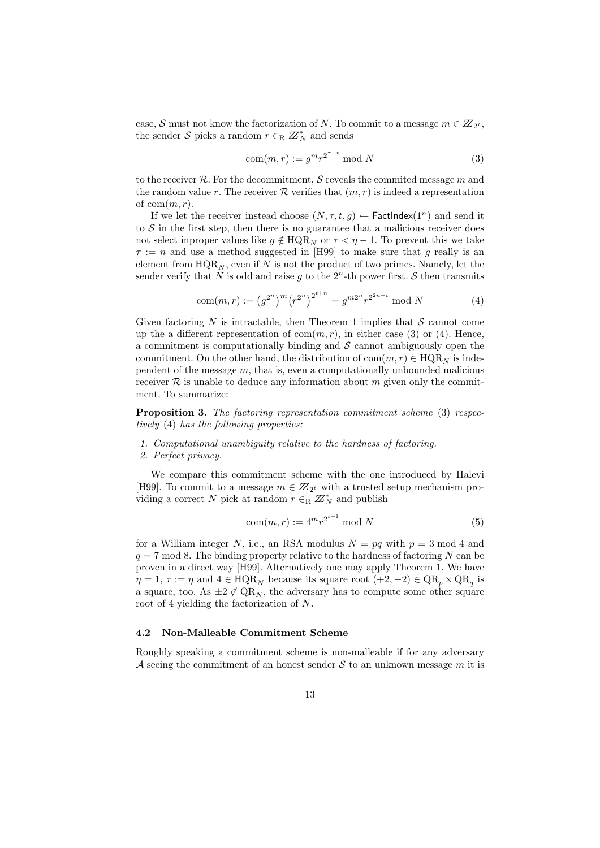case, S must not know the factorization of N. To commit to a message  $m \in \mathbb{Z}_{2^t}$ , the sender S picks a random  $r \in_R \mathbb{Z}_N^*$  and sends

$$
com(m,r) := g^m r^{2^{\tau+t}} \bmod N
$$
\n(3)

to the receiver  $\mathcal R$ . For the decommitment, S reveals the commited message m and the random value r. The receiver  $R$  verifies that  $(m, r)$  is indeed a representation of  $com(m, r)$ .

If we let the receiver instead choose  $(N, \tau, t, q) \leftarrow$  FactIndex $(1^n)$  and send it to  $S$  in the first step, then there is no guarantee that a malicious receiver does not select inproper values like  $q \notin \text{HQR}_N$  or  $\tau < \eta - 1$ . To prevent this we take  $\tau := n$  and use a method suggested in [H99] to make sure that g really is an element from  $HQR_N$ , even if N is not the product of two primes. Namely, let the sender verify that N is odd and raise g to the  $2<sup>n</sup>$ -th power first. S then transmits

$$
com(m,r) := (g^{2^n})^m (r^{2^n})^{2^{t+n}} = g^{m2^n} r^{2^{2n+t}} \bmod N
$$
 (4)

Given factoring N is intractable, then Theorem 1 implies that  $S$  cannot come up the a different representation of  $com(m, r)$ , in either case (3) or (4). Hence, a commitment is computationally binding and  $S$  cannot ambiguously open the commitment. On the other hand, the distribution of  $com(m, r) \in HQR_N$  is independent of the message  $m$ , that is, even a computationally unbounded malicious receiver  $\mathcal R$  is unable to deduce any information about m given only the commitment. To summarize:

Proposition 3. The factoring representation commitment scheme (3) respectively (4) has the following properties:

#### 1. Computational unambiguity relative to the hardness of factoring.

#### 2. Perfect privacy.

We compare this commitment scheme with the one introduced by Halevi [H99]. To commit to a message  $m \in Z_{2^t}$  with a trusted setup mechanism providing a correct N pick at random  $r \in_R Z_N^*$  and publish

$$
com(m, r) := 4^m r^{2^{t+1}} \bmod N
$$
\n<sup>(5)</sup>

for a William integer N, i.e., an RSA modulus  $N = pq$  with  $p = 3 \text{ mod } 4$  and  $q = 7 \text{ mod } 8$ . The binding property relative to the hardness of factoring N can be proven in a direct way [H99]. Alternatively one may apply Theorem 1. We have  $\eta = 1, \tau := \eta$  and  $4 \in \text{HQR}_N$  because its square root  $(+2, -2) \in \text{QR}_p \times \text{QR}_q$  is a square, too. As  $\pm 2 \notin \mathrm{QR}_N$ , the adversary has to compute some other square root of 4 yielding the factorization of N.

## 4.2 Non-Malleable Commitment Scheme

Roughly speaking a commitment scheme is non-malleable if for any adversary A seeing the commitment of an honest sender S to an unknown message m it is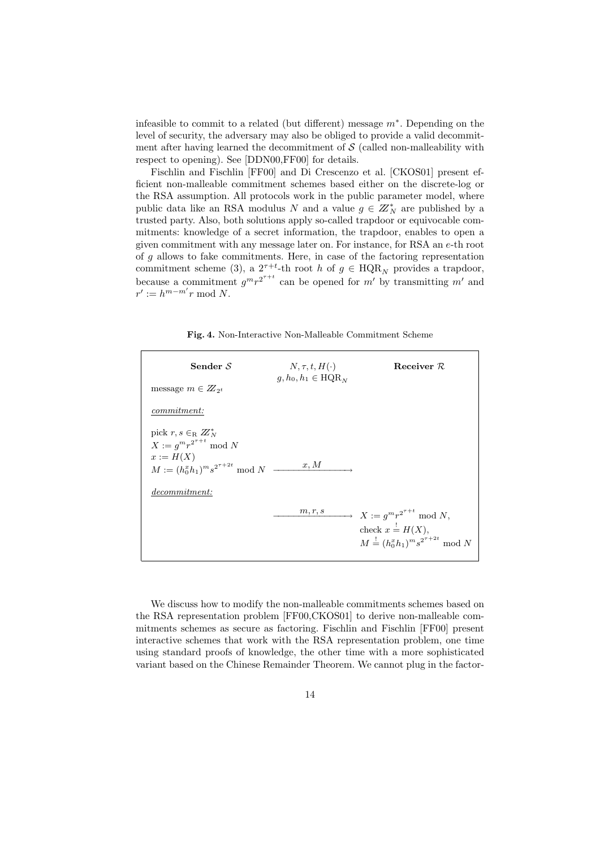infeasible to commit to a related (but different) message m<sup>∗</sup> . Depending on the level of security, the adversary may also be obliged to provide a valid decommitment after having learned the decommitment of  $S$  (called non-malleability with respect to opening). See [DDN00,FF00] for details.

Fischlin and Fischlin [FF00] and Di Crescenzo et al. [CKOS01] present efficient non-malleable commitment schemes based either on the discrete-log or the RSA assumption. All protocols work in the public parameter model, where public data like an RSA modulus N and a value  $g \in \mathbb{Z}_N^*$  are published by a trusted party. Also, both solutions apply so-called trapdoor or equivocable commitments: knowledge of a secret information, the trapdoor, enables to open a given commitment with any message later on. For instance, for RSA an e-th root of g allows to fake commitments. Here, in case of the factoring representation commitment scheme (3), a  $2^{\tau+t}$ -th root h of  $g \in \text{HQR}_N$  provides a trapdoor, because a commitment  $g^m r^{2^{r+t}}$  can be opened for m' by transmitting m' and  $r' := h^{m-m'}r \bmod N.$ 

Fig. 4. Non-Interactive Non-Malleable Commitment Scheme

| Sender $S$                                                            | $N, \tau, t, H(\cdot)$<br>$q, h_0, h_1 \in \text{HQR}_N$ | Receiver $R$                                                                                                              |
|-----------------------------------------------------------------------|----------------------------------------------------------|---------------------------------------------------------------------------------------------------------------------------|
| message $m \in Z_{2^t}$                                               |                                                          |                                                                                                                           |
| <i>commitment:</i>                                                    |                                                          |                                                                                                                           |
| pick $r, s \in_R \mathbb{Z}_N^*$<br>$X := g^m r^{2^{\tau+t}} \bmod N$ |                                                          |                                                                                                                           |
| $x:=H(X)$<br>$M := (h_0^x h_1)^m s^{2^{\tau+2t}} \mod N$              | x, M                                                     |                                                                                                                           |
| <i>decommitment:</i>                                                  |                                                          |                                                                                                                           |
|                                                                       |                                                          | $\overline{m,r,s}$ $X := g^m r^{2^{\tau+t}} \bmod N,$<br>check $x = H(X)$ ,<br>$M = (h_0^x h_1)^m s^{2^{\tau+2t}} \mod N$ |

We discuss how to modify the non-malleable commitments schemes based on the RSA representation problem [FF00,CKOS01] to derive non-malleable commitments schemes as secure as factoring. Fischlin and Fischlin [FF00] present interactive schemes that work with the RSA representation problem, one time using standard proofs of knowledge, the other time with a more sophisticated variant based on the Chinese Remainder Theorem. We cannot plug in the factor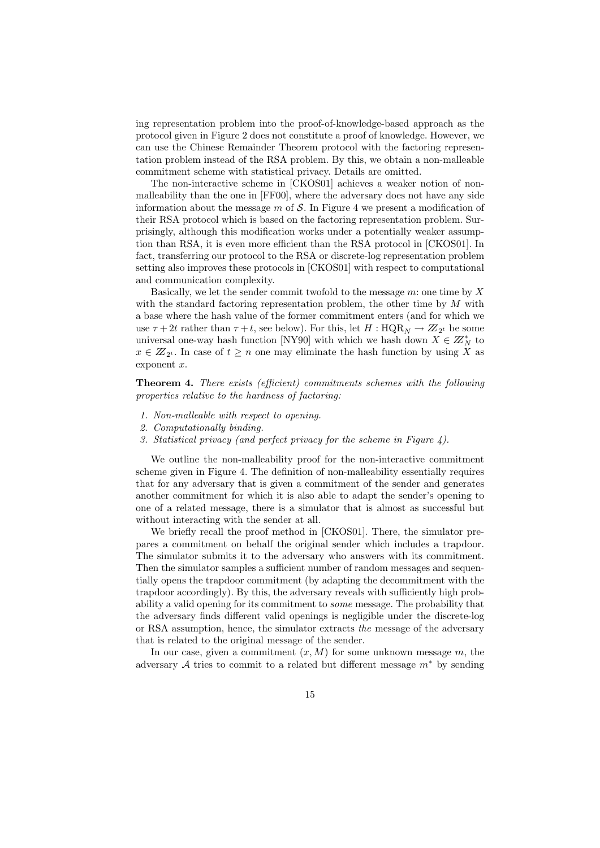ing representation problem into the proof-of-knowledge-based approach as the protocol given in Figure 2 does not constitute a proof of knowledge. However, we can use the Chinese Remainder Theorem protocol with the factoring representation problem instead of the RSA problem. By this, we obtain a non-malleable commitment scheme with statistical privacy. Details are omitted.

The non-interactive scheme in [CKOS01] achieves a weaker notion of nonmalleability than the one in [FF00], where the adversary does not have any side information about the message  $m$  of  $S$ . In Figure 4 we present a modification of their RSA protocol which is based on the factoring representation problem. Surprisingly, although this modification works under a potentially weaker assumption than RSA, it is even more efficient than the RSA protocol in [CKOS01]. In fact, transferring our protocol to the RSA or discrete-log representation problem setting also improves these protocols in [CKOS01] with respect to computational and communication complexity.

Basically, we let the sender commit twofold to the message  $m$ : one time by  $X$ with the standard factoring representation problem, the other time by  $M$  with a base where the hash value of the former commitment enters (and for which we use  $\tau + 2t$  rather than  $\tau + t$ , see below). For this, let  $H : \text{HQR}_N \to Z_{2^t}$  be some universal one-way hash function [NY90] with which we hash down  $X \in \mathbb{Z}_N^*$  to  $x \in \mathbb{Z}_{2^t}$ . In case of  $t \geq n$  one may eliminate the hash function by using X as exponent  $x$ .

Theorem 4. There exists (efficient) commitments schemes with the following properties relative to the hardness of factoring:

- 1. Non-malleable with respect to opening.
- 2. Computationally binding.
- 3. Statistical privacy (and perfect privacy for the scheme in Figure 4).

We outline the non-malleability proof for the non-interactive commitment scheme given in Figure 4. The definition of non-malleability essentially requires that for any adversary that is given a commitment of the sender and generates another commitment for which it is also able to adapt the sender's opening to one of a related message, there is a simulator that is almost as successful but without interacting with the sender at all.

We briefly recall the proof method in [CKOS01]. There, the simulator prepares a commitment on behalf the original sender which includes a trapdoor. The simulator submits it to the adversary who answers with its commitment. Then the simulator samples a sufficient number of random messages and sequentially opens the trapdoor commitment (by adapting the decommitment with the trapdoor accordingly). By this, the adversary reveals with sufficiently high probability a valid opening for its commitment to some message. The probability that the adversary finds different valid openings is negligible under the discrete-log or RSA assumption, hence, the simulator extracts the message of the adversary that is related to the original message of the sender.

In our case, given a commitment  $(x, M)$  for some unknown message m, the adversary  $A$  tries to commit to a related but different message  $m^*$  by sending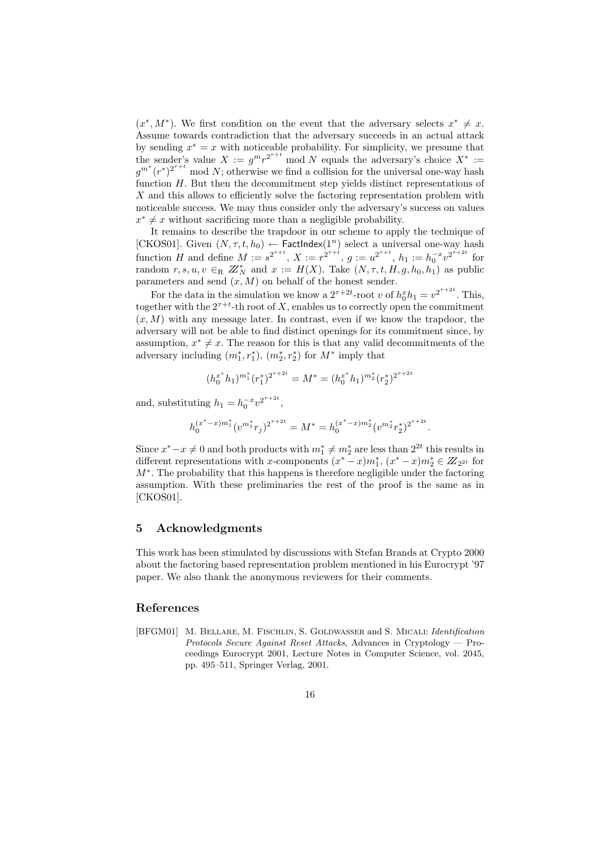$(x^*, M^*)$ . We first condition on the event that the adversary selects  $x^* \neq x$ . Assume towards contradiction that the adversary succeeds in an actual attack by sending  $x^* = x$  with noticeable probability. For simplicity, we presume that the sender's value  $X := g^m r^{2^{T+1}} \mod N$  equals the adversary's choice  $X^* :=$  $g^{m^*}(r^*)^{2^{\tau+t}}$  mod N; otherwise we find a collision for the universal one-way hash function H. But then the decommitment step yields distinct representations of  $X$  and this allows to efficiently solve the factoring representation problem with noticeable success. We may thus consider only the adversary's success on values  $x^* \neq x$  without sacrificing more than a negligible probability.

It remains to describe the trapdoor in our scheme to apply the technique of [CKOS01]. Given  $(N, \tau, t, h_0) \leftarrow$  FactIndex $(1^n)$  select a universal one-way hash function H and define  $M := s^{2^{\tau+t}}$ ,  $X := r^{2^{\tau+t}}$ ,  $g := u^{2^{\tau+t}}$ ,  $h_1 := h_0^{-x} v^{2^{\tau+2t}}$  for random  $r, s, u, v \in_R \mathbb{Z}_N^*$  and  $x := H(X)$ . Take  $(N, \tau, t, H, g, h_0, h_1)$  as public parameters and send  $(x, M)$  on behalf of the honest sender.

For the data in the simulation we know a  $2^{\tau+2t}$ -root v of  $h_0^x h_1 = v^{2^{\tau+2t}}$ . This, together with the  $2^{\tau+t}$ -th root of X, enables us to correctly open the commitment  $(x, M)$  with any message later. In contrast, even if we know the trapdoor, the adversary will not be able to find distinct openings for its commitment since, by assumption,  $x^* \neq x$ . The reason for this is that any valid decommitments of the adversary including  $(m_1^*, r_1^*)$ ,  $(m_2^*, r_2^*)$  for  $M^*$  imply that

$$
(h_0^{x^*}h_1)^{m_1^*}(r_1^*)^{2^{\tau+2t}} = M^* = (h_0^{x^*}h_1)^{m_2^*}(r_2^*)^{2^{\tau+2t}}
$$

and, substituting  $h_1 = h_0^{-x} v^{2^{\tau+2t}}$ ,

$$
h_0^{(x^*-x)m_1^*}(v^{m_1^*}r_j)^{2^{\tau+2t}} = M^* = h_0^{(x^*-x)m_2^*}(v^{m_2^*}r_2^*)^{2^{\tau+2t}}.
$$

Since  $x^* - x \neq 0$  and both products with  $m_1^* \neq m_2^*$  are less than  $2^{2t}$  this results in different representations with x-components  $(x^* - x)m_1^*$ ,  $(x^* - x)m_2^* \in \mathbb{Z}_{2^{2t}}$  for M<sup>\*</sup>. The probability that this happens is therefore negligible under the factoring assumption. With these preliminaries the rest of the proof is the same as in [CKOS01].

## 5 Acknowledgments

This work has been stimulated by discussions with Stefan Brands at Crypto 2000 about the factoring based representation problem mentioned in his Eurocrypt '97 paper. We also thank the anonymous reviewers for their comments.

### References

[BFGM01] M. BELLARE, M. FISCHLIN, S. GOLDWASSER and S. MICALI: *Identification* Protocols Secure Against Reset Attacks, Advances in Cryptology — Proceedings Eurocrypt 2001, Lecture Notes in Computer Science, vol. 2045, pp. 495–511, Springer Verlag, 2001.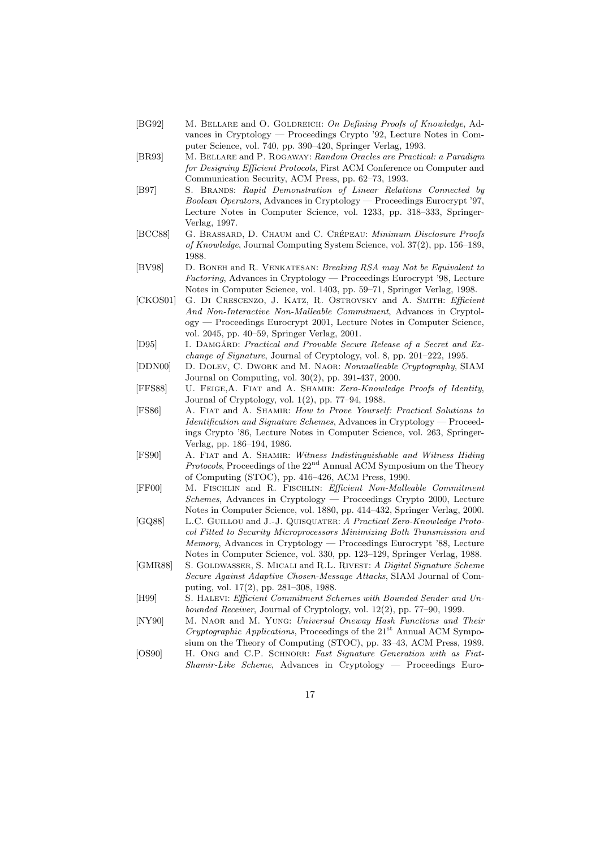- [BG92] M. BELLARE and O. GOLDREICH: On Defining Proofs of Knowledge, Advances in Cryptology — Proceedings Crypto '92, Lecture Notes in Computer Science, vol. 740, pp. 390–420, Springer Verlag, 1993.
- [BR93] M. Bellare and P. Rogaway: Random Oracles are Practical: a Paradigm for Designing Efficient Protocols, First ACM Conference on Computer and Communication Security, ACM Press, pp. 62–73, 1993.
- [B97] S. BRANDS: Rapid Demonstration of Linear Relations Connected by Boolean Operators, Advances in Cryptology — Proceedings Eurocrypt '97, Lecture Notes in Computer Science, vol. 1233, pp. 318–333, Springer-Verlag, 1997.
- [BCC88] G. BRASSARD, D. CHAUM and C. CRÉPEAU: Minimum Disclosure Proofs of Knowledge, Journal Computing System Science, vol. 37(2), pp. 156–189, 1988.
- [BV98] D. Boneh and R. Venkatesan: Breaking RSA may Not be Equivalent to Factoring, Advances in Cryptology — Proceedings Eurocrypt '98, Lecture Notes in Computer Science, vol. 1403, pp. 59–71, Springer Verlag, 1998.
- [CKOS01] G. DI CRESCENZO, J. KATZ, R. OSTROVSKY and A. SMITH: Efficient And Non-Interactive Non-Malleable Commitment, Advances in Cryptology — Proceedings Eurocrypt 2001, Lecture Notes in Computer Science, vol. 2045, pp. 40–59, Springer Verlag, 2001.
- [D95] I. DAMGÅRD: Practical and Provable Secure Release of a Secret and Exchange of Signature, Journal of Cryptology, vol. 8, pp. 201–222, 1995.
- [DDN00] D. Dolev, C. Dwork and M. Naor: Nonmalleable Cryptography, SIAM Journal on Computing, vol. 30(2), pp. 391-437, 2000.
- [FFS88] U. Feige,A. Fiat and A. Shamir: Zero-Knowledge Proofs of Identity, Journal of Cryptology, vol. 1(2), pp. 77–94, 1988.
- [FS86] A. FIAT and A. SHAMIR: How to Prove Yourself: Practical Solutions to Identification and Signature Schemes, Advances in Cryptology — Proceedings Crypto '86, Lecture Notes in Computer Science, vol. 263, Springer-Verlag, pp. 186–194, 1986.
- [FS90] A. FIAT and A. SHAMIR: Witness Indistinguishable and Witness Hiding *Protocols*, Proceedings of the  $22<sup>nd</sup>$  Annual ACM Symposium on the Theory of Computing (STOC), pp. 416–426, ACM Press, 1990.
- [FF00] M. Fischlin and R. Fischlin: Efficient Non-Malleable Commitment Schemes, Advances in Cryptology — Proceedings Crypto 2000, Lecture Notes in Computer Science, vol. 1880, pp. 414–432, Springer Verlag, 2000.
- [GQ88] L.C. GUILLOU and J.-J. QUISQUATER: A Practical Zero-Knowledge Protocol Fitted to Security Microprocessors Minimizing Both Transmission and Memory, Advances in Cryptology — Proceedings Eurocrypt '88, Lecture Notes in Computer Science, vol. 330, pp. 123–129, Springer Verlag, 1988.
- [GMR88] S. GOLDWASSER, S. MICALI and R.L. RIVEST: A Digital Signature Scheme Secure Against Adaptive Chosen-Message Attacks, SIAM Journal of Computing, vol. 17(2), pp. 281–308, 1988.
- [H99] S. Halevi: Efficient Commitment Schemes with Bounded Sender and Unbounded Receiver, Journal of Cryptology, vol. 12(2), pp. 77–90, 1999.
- [NY90] M. NAOR and M. YUNG: Universal Oneway Hash Functions and Their  $Cryptographic Applications, Proceedings of the  $21^{st}$  Annual ACM Symposium$ sium on the Theory of Computing (STOC), pp. 33–43, ACM Press, 1989.
- [OS90] H. ONG and C.P. SCHNORR: Fast Signature Generation with as Fiat- $Shamir-Like$  Scheme, Advances in Cryptology — Proceedings Euro-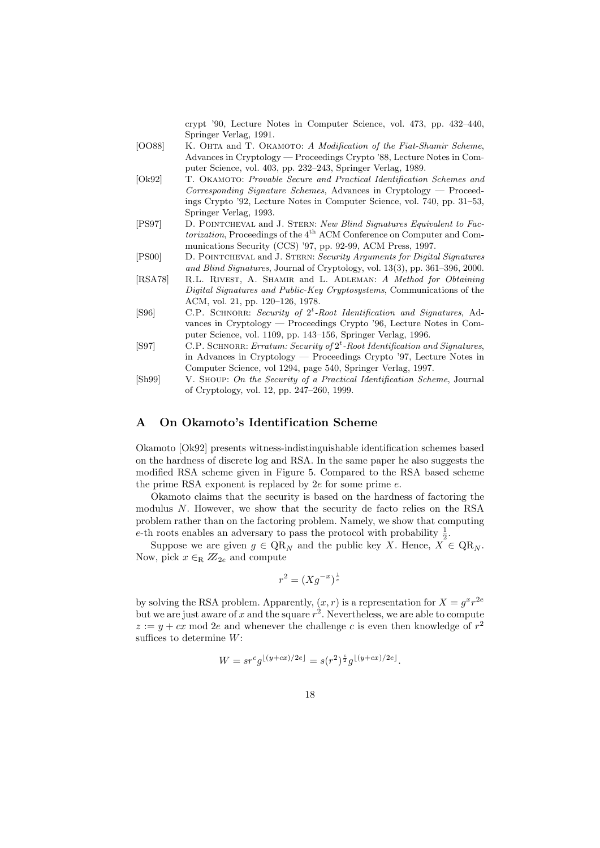crypt '90, Lecture Notes in Computer Science, vol. 473, pp. 432–440, Springer Verlag, 1991.

- [OO88] K. OHTA and T. OKAMOTO: A Modification of the Fiat-Shamir Scheme, Advances in Cryptology — Proceedings Crypto '88, Lecture Notes in Computer Science, vol. 403, pp. 232–243, Springer Verlag, 1989.
- [Ok92] T. OKAMOTO: Provable Secure and Practical Identification Schemes and Corresponding Signature Schemes, Advances in Cryptology — Proceedings Crypto '92, Lecture Notes in Computer Science, vol. 740, pp. 31–53, Springer Verlag, 1993.
- [PS97] D. Pointcheval and J. Stern: New Blind Signatures Equivalent to Factorization, Proceedings of the 4<sup>th</sup> ACM Conference on Computer and Communications Security (CCS) '97, pp. 92-99, ACM Press, 1997.
- [PS00] D. Pointcheval and J. Stern: Security Arguments for Digital Signatures and Blind Signatures, Journal of Cryptology, vol. 13(3), pp. 361–396, 2000.
- [RSA78] R.L. Rivest, A. Shamir and L. Adleman: A Method for Obtaining Digital Signatures and Public-Key Cryptosystems, Communications of the ACM, vol. 21, pp. 120–126, 1978.
- [S96] C.P. SCHNORR: Security of  $2^t$ -Root Identification and Signatures, Advances in Cryptology — Proceedings Crypto '96, Lecture Notes in Computer Science, vol. 1109, pp. 143–156, Springer Verlag, 1996.
- [S97] C.P. SCHNORR: Erratum: Security of  $2<sup>t</sup>$ -Root Identification and Signatures, in Advances in Cryptology — Proceedings Crypto '97, Lecture Notes in Computer Science, vol 1294, page 540, Springer Verlag, 1997.
- [Sh99] V. Shoup: On the Security of a Practical Identification Scheme, Journal of Cryptology, vol. 12, pp. 247–260, 1999.

## A On Okamoto's Identification Scheme

Okamoto [Ok92] presents witness-indistinguishable identification schemes based on the hardness of discrete log and RSA. In the same paper he also suggests the modified RSA scheme given in Figure 5. Compared to the RSA based scheme the prime RSA exponent is replaced by  $2e$  for some prime  $e$ .

Okamoto claims that the security is based on the hardness of factoring the modulus N. However, we show that the security de facto relies on the RSA problem rather than on the factoring problem. Namely, we show that computing e-th roots enables an adversary to pass the protocol with probability  $\frac{1}{2}$ .

Suppose we are given  $g \in QR_N$  and the public key X. Hence,  $X \in QR_N$ . Now, pick  $x \in_R \mathbb{Z}_{2e}$  and compute

$$
r^2 = (Xg^{-x})^{\frac{1}{e}}
$$

by solving the RSA problem. Apparently,  $(x, r)$  is a representation for  $X = g^x r^{2e}$ but we are just aware of x and the square  $r^2$ . Nevertheless, we are able to compute  $z := y + cx \mod 2e$  and whenever the challenge c is even then knowledge of  $r^2$ suffices to determine  $W$ :

$$
W = s r^c g^{\lfloor (y+cx)/2e \rfloor} = s(r^2)^{\frac{c}{2}} g^{\lfloor (y+cx)/2e \rfloor}.
$$